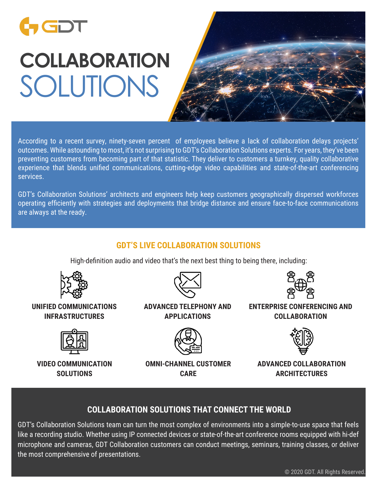## CDT

# **COLLABORATION** SOLUTIONS



According to a recent survey, ninety-seven percent of employees believe a lack of collaboration delays projects' outcomes. While astounding to most, it's not surprising to GDT's Collaboration Solutions experts. For years, they've been preventing customers from becoming part of that statistic. They deliver to customers a turnkey, quality collaborative experience that blends unified communications, cutting-edge video capabilities and state-of-the-art conferencing services.

GDT's Collaboration Solutions' architects and engineers help keep customers geographically dispersed workforces operating efficiently with strategies and deployments that bridge distance and ensure face-to-face communications are always at the ready.

#### **GDT'S LIVE COLLABORATION SOLUTIONS**

High-definition audio and video that's the next best thing to being there, including:



#### **UNIFIED COMMUNICATIONS INFRASTRUCTURES**



**VIDEO COMMUNICATION SOLUTIONS**



#### **ADVANCED TELEPHONY AND APPLICATIONS**



**OMNI-CHANNEL CUSTOMER CARE**



**ENTERPRISE CONFERENCING AND COLLABORATION**



**ADVANCED COLLABORATION ARCHITECTURES**

### **COLLABORATION SOLUTIONS THAT CONNECT THE WORLD**

GDT's Collaboration Solutions team can turn the most complex of environments into a simple-to-use space that feels like a recording studio. Whether using IP connected devices or state-of-the-art conference rooms equipped with hi-def microphone and cameras, GDT Collaboration customers can conduct meetings, seminars, training classes, or deliver the most comprehensive of presentations.